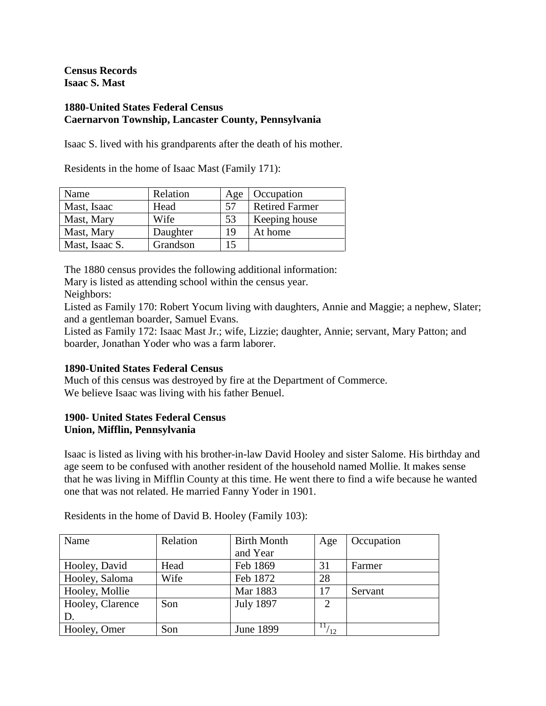**Census Records Isaac S. Mast**

## **1880-United States Federal Census Caernarvon Township, Lancaster County, Pennsylvania**

Isaac S. lived with his grandparents after the death of his mother.

Residents in the home of Isaac Mast (Family 171):

| Name           | Relation | Age | Occupation            |
|----------------|----------|-----|-----------------------|
| Mast, Isaac    | Head     | .57 | <b>Retired Farmer</b> |
| Mast, Mary     | Wife     | 53  | Keeping house         |
| Mast, Mary     | Daughter | 19  | At home               |
| Mast, Isaac S. | Grandson | 15  |                       |

The 1880 census provides the following additional information:

Mary is listed as attending school within the census year.

Neighbors:

Listed as Family 170: Robert Yocum living with daughters, Annie and Maggie; a nephew, Slater; and a gentleman boarder, Samuel Evans.

Listed as Family 172: Isaac Mast Jr.; wife, Lizzie; daughter, Annie; servant, Mary Patton; and boarder, Jonathan Yoder who was a farm laborer.

# **1890-United States Federal Census**

Much of this census was destroyed by fire at the Department of Commerce. We believe Isaac was living with his father Benuel.

# **1900- United States Federal Census Union, Mifflin, Pennsylvania**

Isaac is listed as living with his brother-in-law David Hooley and sister Salome. His birthday and age seem to be confused with another resident of the household named Mollie. It makes sense that he was living in Mifflin County at this time. He went there to find a wife because he wanted one that was not related. He married Fanny Yoder in 1901.

| Name             | Relation | <b>Birth Month</b> | Age            | Occupation |
|------------------|----------|--------------------|----------------|------------|
|                  |          | and Year           |                |            |
| Hooley, David    | Head     | Feb 1869           | 31             | Farmer     |
| Hooley, Saloma   | Wife     | Feb 1872           | 28             |            |
| Hooley, Mollie   |          | Mar 1883           | 17             | Servant    |
| Hooley, Clarence | Son      | <b>July 1897</b>   | $\overline{2}$ |            |
| D.               |          |                    |                |            |
| Hooley, Omer     | Son      | <b>June 1899</b>   | 11/<br>12      |            |

Residents in the home of David B. Hooley (Family 103):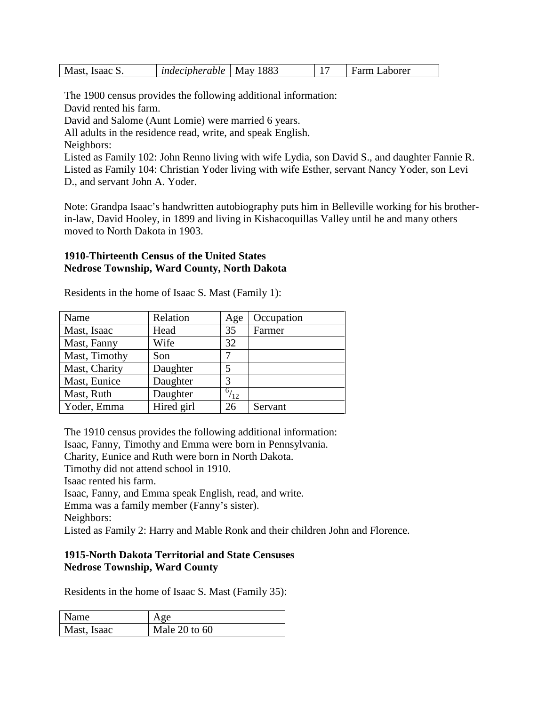| Mast, Isaac S | <i>indecipherable</i> | <b>May 1883</b> | $\overline{\phantom{a}}$ | Farm Laborer |
|---------------|-----------------------|-----------------|--------------------------|--------------|
|---------------|-----------------------|-----------------|--------------------------|--------------|

The 1900 census provides the following additional information:

David rented his farm.

David and Salome (Aunt Lomie) were married 6 years.

All adults in the residence read, write, and speak English.

Neighbors:

Listed as Family 102: John Renno living with wife Lydia, son David S., and daughter Fannie R. Listed as Family 104: Christian Yoder living with wife Esther, servant Nancy Yoder, son Levi D., and servant John A. Yoder.

Note: Grandpa Isaac's handwritten autobiography puts him in Belleville working for his brotherin-law, David Hooley, in 1899 and living in Kishacoquillas Valley until he and many others moved to North Dakota in 1903.

#### **1910-Thirteenth Census of the United States Nedrose Township, Ward County, North Dakota**

| Name          | Relation   | Age          | Occupation |
|---------------|------------|--------------|------------|
| Mast, Isaac   | Head       | 35           | Farmer     |
| Mast, Fanny   | Wife       | 32           |            |
| Mast, Timothy | Son        |              |            |
| Mast, Charity | Daughter   | 5            |            |
| Mast, Eunice  | Daughter   | 3            |            |
| Mast, Ruth    | Daughter   | $^{6}/_{12}$ |            |
| Yoder, Emma   | Hired girl | 26           | Servant    |

Residents in the home of Isaac S. Mast (Family 1):

The 1910 census provides the following additional information: Isaac, Fanny, Timothy and Emma were born in Pennsylvania. Charity, Eunice and Ruth were born in North Dakota. Timothy did not attend school in 1910. Isaac rented his farm. Isaac, Fanny, and Emma speak English, read, and write. Emma was a family member (Fanny's sister). Neighbors: Listed as Family 2: Harry and Mable Ronk and their children John and Florence.

# **1915-North Dakota Territorial and State Censuses Nedrose Township, Ward County**

Residents in the home of Isaac S. Mast (Family 35):

| Name        | Age               |
|-------------|-------------------|
| Mast, Isaac | Male $20$ to $60$ |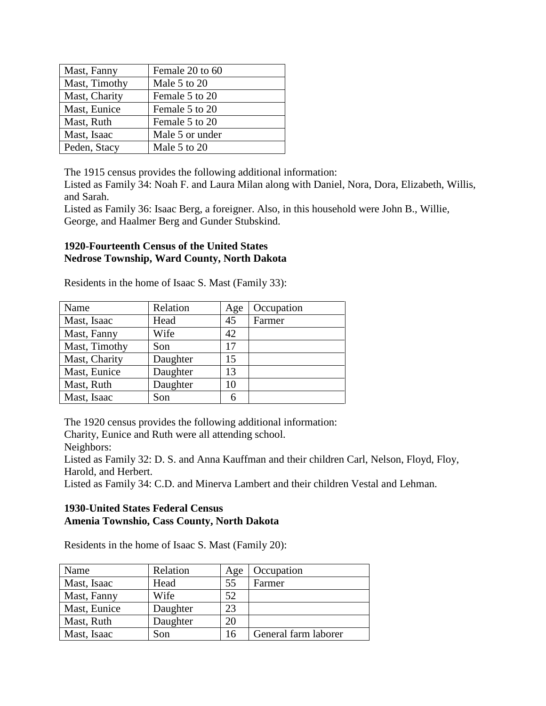| Mast, Fanny   | Female 20 to 60 |
|---------------|-----------------|
| Mast, Timothy | Male 5 to 20    |
| Mast, Charity | Female 5 to 20  |
| Mast, Eunice  | Female 5 to 20  |
| Mast, Ruth    | Female 5 to 20  |
| Mast, Isaac   | Male 5 or under |
| Peden, Stacy  | Male 5 to 20    |

The 1915 census provides the following additional information:

Listed as Family 34: Noah F. and Laura Milan along with Daniel, Nora, Dora, Elizabeth, Willis, and Sarah.

Listed as Family 36: Isaac Berg, a foreigner. Also, in this household were John B., Willie, George, and Haalmer Berg and Gunder Stubskind.

## **1920-Fourteenth Census of the United States Nedrose Township, Ward County, North Dakota**

Residents in the home of Isaac S. Mast (Family 33):

| Name          | Relation | Age | Occupation |
|---------------|----------|-----|------------|
| Mast, Isaac   | Head     | 45  | Farmer     |
| Mast, Fanny   | Wife     | 42  |            |
| Mast, Timothy | Son      | 17  |            |
| Mast, Charity | Daughter | 15  |            |
| Mast, Eunice  | Daughter | 13  |            |
| Mast, Ruth    | Daughter | 10  |            |
| Mast, Isaac   | Son      |     |            |

The 1920 census provides the following additional information:

Charity, Eunice and Ruth were all attending school.

Neighbors:

Listed as Family 32: D. S. and Anna Kauffman and their children Carl, Nelson, Floyd, Floy, Harold, and Herbert.

Listed as Family 34: C.D. and Minerva Lambert and their children Vestal and Lehman.

# **1930-United States Federal Census Amenia Townshio, Cass County, North Dakota**

Residents in the home of Isaac S. Mast (Family 20):

| Name         | Relation | Age | Occupation           |
|--------------|----------|-----|----------------------|
| Mast, Isaac  | Head     | 55  | Farmer               |
| Mast, Fanny  | Wife     | 52  |                      |
| Mast, Eunice | Daughter | 23  |                      |
| Mast, Ruth   | Daughter | 20  |                      |
| Mast, Isaac  | Son      | 16  | General farm laborer |